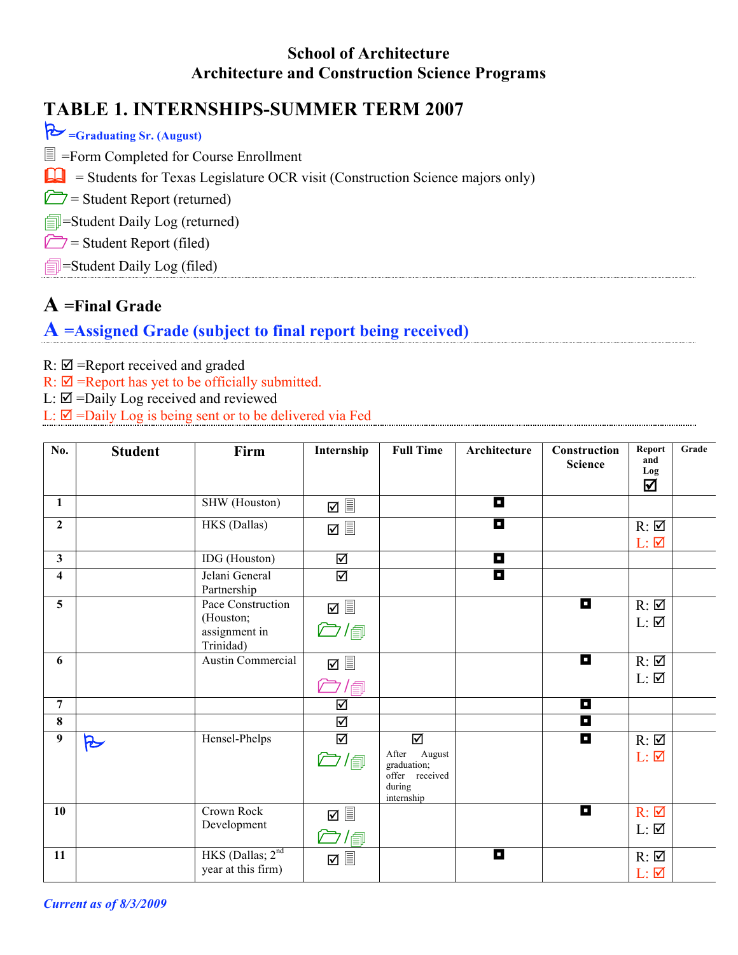#### **School of Architecture Architecture and Construction Science Programs**

## **TABLE 1. INTERNSHIPS-SUMMER TERM 2007**

| $\triangleright$ =Graduating Sr. (August)                                            |
|--------------------------------------------------------------------------------------|
| $\equiv$ =Form Completed for Course Enrollment                                       |
| $\Box$ = Students for Texas Legislature OCR visit (Construction Science majors only) |
| $\Box$ = Student Report (returned)                                                   |
| $\frac{1}{\Box}$ =Student Daily Log (returned)                                       |
| $\Box$ = Student Report (filed)                                                      |
| $\Box$ =Student Daily Log (filed)                                                    |
|                                                                                      |

## **A =Final Grade**

# **A =Assigned Grade (subject to final report being received)**

- $R: \nabla$  =Report received and graded
- $R: \nabla$  =Report has yet to be officially submitted.
- $L: \mathbb{Z} =$ Daily Log received and reviewed
- $L: \n  $\blacksquare$  = Daily Log is being sent or to be delivered via Fed$

| No.                     | <b>Student</b> | Firm                                                         | Internship                                | <b>Full Time</b>                                                           | Architecture | Construction<br><b>Science</b> | Report<br>and<br>Log<br>☑                            | Grade |
|-------------------------|----------------|--------------------------------------------------------------|-------------------------------------------|----------------------------------------------------------------------------|--------------|--------------------------------|------------------------------------------------------|-------|
| $\mathbf{1}$            |                | SHW (Houston)                                                | ত ≣                                       |                                                                            | П            |                                |                                                      |       |
| $\overline{2}$          |                | HKS (Dallas)                                                 |                                           |                                                                            | П            |                                | $R: \mathbb{Z}$<br>$L: \nabla$                       |       |
| $\mathbf{3}$            |                | IDG (Houston)                                                | ☑                                         |                                                                            | П            |                                |                                                      |       |
| $\overline{\mathbf{4}}$ |                | Jelani General<br>Partnership                                | ☑                                         |                                                                            | О            |                                |                                                      |       |
| 5                       |                | Pace Construction<br>(Houston;<br>assignment in<br>Trinidad) | $\boxtimes$<br>$\bigcirc$ /               |                                                                            |              | П                              | $R: \Box$<br>$L: \mathbf{\nabla}$                    |       |
| 6                       |                | Austin Commercial                                            | ☑ §<br>$\bar{\Box}$ / $_\mathrm{f\oplus}$ |                                                                            |              | П                              | $R: \overline{\mathfrak{A}}$<br>$L: \mathbf{\nabla}$ |       |
| $\overline{7}$          |                |                                                              | ☑                                         |                                                                            |              | O                              |                                                      |       |
| 8                       |                |                                                              | ☑                                         |                                                                            |              | О                              |                                                      |       |
| 9                       | R              | Hensel-Phelps                                                | $\overline{\mathbf{S}}$<br>$\Box$ /       | ☑<br>After August<br>graduation;<br>offer received<br>during<br>internship |              | O                              | $R: \mathbf{\nabla}$<br>$L: \nabla$                  |       |
| 10                      |                | Crown Rock<br>Development                                    | $\boxtimes \equiv$<br>○/包                 |                                                                            |              | П                              | $R: \mathbf{Z}$<br>$L: \overline{\mathbf{Z}}$        |       |
| 11                      |                | HKS (Dallas; $2nd$<br>year at this firm)                     | ☑ §                                       |                                                                            | О            |                                | $R: \mathbf{\nabla}$<br>$L: \nabla$                  |       |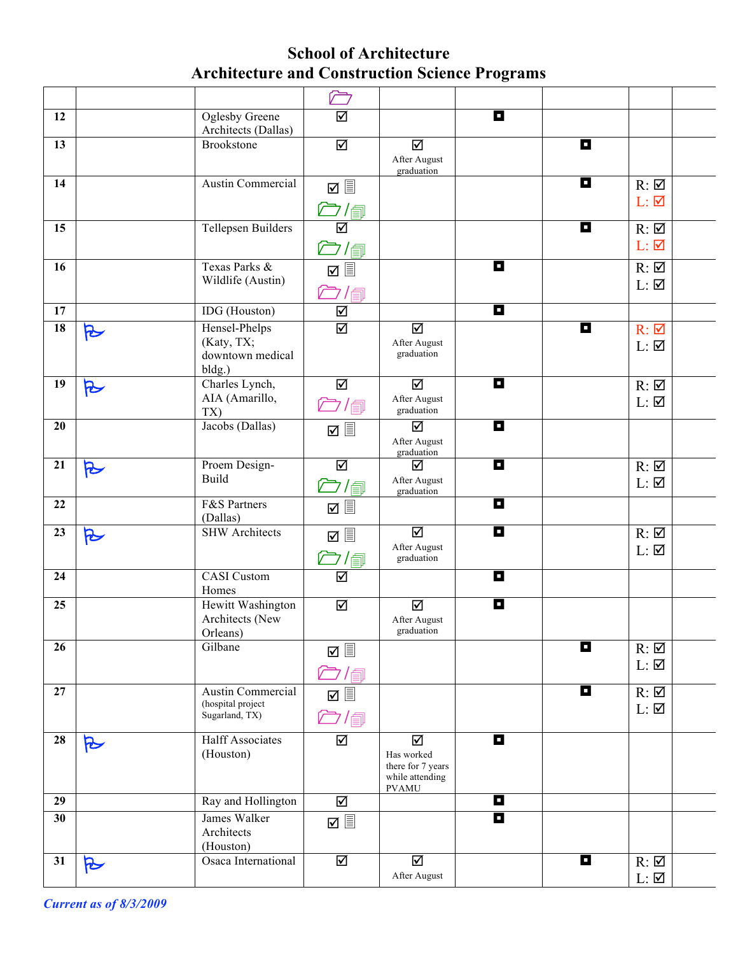### **School of Architecture Architecture and Construction Science Programs**

|                 |           |                                                           | $\sqrt{2}$                       |                                                                         |   |   |                                                              |  |
|-----------------|-----------|-----------------------------------------------------------|----------------------------------|-------------------------------------------------------------------------|---|---|--------------------------------------------------------------|--|
| 12              |           | <b>Oglesby Greene</b>                                     | ☑                                |                                                                         | П |   |                                                              |  |
|                 |           | Architects (Dallas)<br><b>Brookstone</b>                  |                                  |                                                                         |   |   |                                                              |  |
| 13              |           |                                                           | ☑                                | ☑<br>After August<br>graduation                                         |   | П |                                                              |  |
| 14              |           | Austin Commercial                                         | $\boxtimes$ $\blacksquare$       |                                                                         |   | П | $R: \overline{\mathfrak{A}}$                                 |  |
|                 |           |                                                           | ○/@                              |                                                                         |   |   | $L: \nabla$                                                  |  |
| 15              |           | <b>Tellepsen Builders</b>                                 | $\overline{\mathbf{S}}$<br>○/包   |                                                                         |   | П | $R: \overline{\mathfrak{A}}$<br>$L: \nabla$                  |  |
| 16              |           | Texas Parks &<br>Wildlife (Austin)                        | /圓                               |                                                                         | О |   | $R: \overline{\mathcal{A}}$<br>$L: \overline{\mathfrak{A}}$  |  |
| 17              |           | IDG (Houston)                                             | ☑                                |                                                                         | П |   |                                                              |  |
| $\overline{18}$ | $\approx$ | Hensel-Phelps<br>(Katy, TX;<br>downtown medical<br>bldg.) | $\overline{\mathsf{M}}$          | ☑<br>After August<br>graduation                                         |   | П | $R: \Box$<br>$L: \overline{\mathbf{Z}}$                      |  |
| 19              | R         | Charles Lynch,<br>AIA (Amarillo,<br>TX)                   | ☑<br>$\Box$ /                    | ☑<br>After August<br>graduation                                         | П |   | $R: \overline{\mathfrak{A}}$<br>$L: \overline{\mathbf{M}}$   |  |
| 20              |           | Jacobs (Dallas)                                           |                                  | ☑<br>After August<br>graduation                                         | O |   |                                                              |  |
| 21              | R         | Proem Design-<br><b>Build</b>                             | ☑<br><i>亡</i> /f                 | ☑<br>After August<br>graduation                                         | П |   | $R: \overline{\mathfrak{A}}$<br>$L: \overline{\mathfrak{A}}$ |  |
| 22              |           | F&S Partners<br>(Dallas)                                  |                                  |                                                                         | П |   |                                                              |  |
| 23              | $\approx$ | <b>SHW</b> Architects                                     | $\boxtimes$<br>$\bar\Box'$       | ☑<br>After August<br>graduation                                         | П |   | $R: \overline{\mathfrak{A}}$<br>$L: \overline{\mathbf{Z}}$   |  |
| 24              |           | <b>CASI</b> Custom<br>Homes                               | ☑                                |                                                                         | П |   |                                                              |  |
| 25              |           | Hewitt Washington<br>Architects (New<br>Orleans)          | ☑                                | ⊠<br>After August<br>graduation                                         | П |   |                                                              |  |
| 26              |           | Gilbane                                                   | $\bar{\mathbb{C}}$ / $\text{d}$  |                                                                         |   | П | $R: \overline{\mathfrak{A}}$<br>$L: \mathbf{\nabla}$         |  |
| 27              |           | Austin Commercial<br>(hospital project<br>Sugarland, TX)  | ☑ 圓<br>$\overline{\mathbb{C}}$ / |                                                                         |   | O | $R: \Box$<br>$L: \mathbf{\nabla}$                            |  |
| 28              | R         | <b>Halff Associates</b><br>(Houston)                      | ☑                                | ☑<br>Has worked<br>there for 7 years<br>while attending<br><b>PVAMU</b> | П |   |                                                              |  |
| 29              |           | Ray and Hollington                                        | ☑                                |                                                                         | П |   |                                                              |  |
| 30              |           | James Walker<br>Architects<br>(Houston)                   |                                  |                                                                         | П |   |                                                              |  |
| 31              | R         | Osaca International                                       | ☑                                | ☑<br>After August                                                       |   | O | $R: \mathbf{\nabla}$<br>$L: \mathbf{Z}$                      |  |